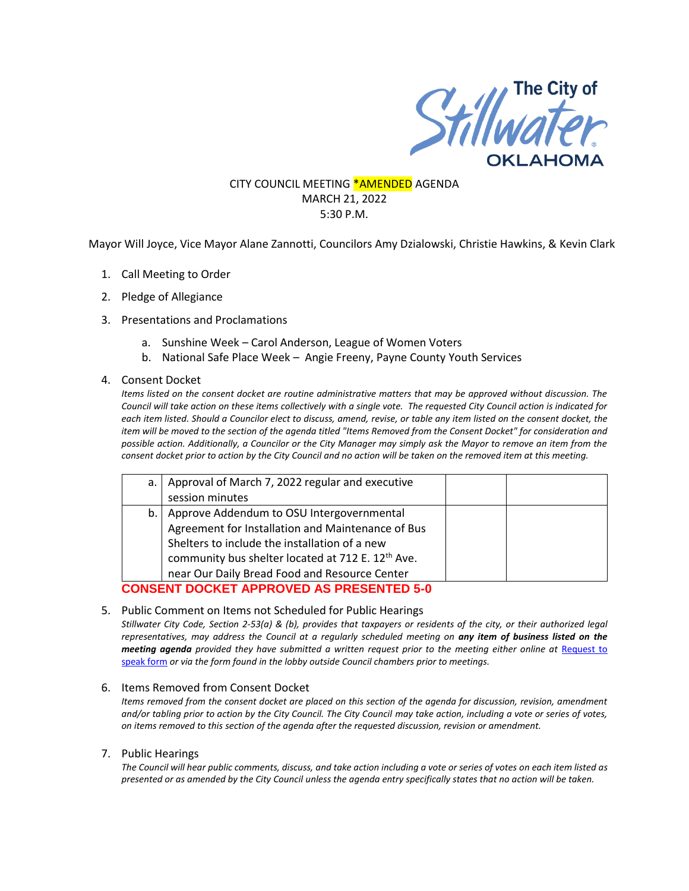

### CITY COUNCIL MEETING **\*AMENDED** AGENDA MARCH 21, 2022 5:30 P.M.

Mayor Will Joyce, Vice Mayor Alane Zannotti, Councilors Amy Dzialowski, Christie Hawkins, & Kevin Clark

- 1. Call Meeting to Order
- 2. Pledge of Allegiance
- 3. Presentations and Proclamations
	- a. Sunshine Week Carol Anderson, League of Women Voters
	- b. National Safe Place Week Angie Freeny, Payne County Youth Services
- 4. Consent Docket

*Items listed on the consent docket are routine administrative matters that may be approved without discussion. The Council will take action on these items collectively with a single vote. The requested City Council action is indicated for each item listed. Should a Councilor elect to discuss, amend, revise, or table any item listed on the consent docket, the item will be moved to the section of the agenda titled "Items Removed from the Consent Docket" for consideration and possible action. Additionally, a Councilor or the City Manager may simply ask the Mayor to remove an item from the consent docket prior to action by the City Council and no action will be taken on the removed item at this meeting.*

| a. I                                            | Approval of March 7, 2022 regular and executive               |  |  |
|-------------------------------------------------|---------------------------------------------------------------|--|--|
|                                                 | session minutes                                               |  |  |
| b.1                                             | Approve Addendum to OSU Intergovernmental                     |  |  |
|                                                 | Agreement for Installation and Maintenance of Bus             |  |  |
|                                                 | Shelters to include the installation of a new                 |  |  |
|                                                 | community bus shelter located at 712 E. 12 <sup>th</sup> Ave. |  |  |
|                                                 | near Our Daily Bread Food and Resource Center                 |  |  |
| <b>CONSENT DOCKET APPROVED AS PRESENTED 5-0</b> |                                                               |  |  |

### 5. Public Comment on Items not Scheduled for Public Hearings

*Stillwater City Code, Section 2-53(a) & (b), provides that taxpayers or residents of the city, or their authorized legal representatives, may address the Council at a regularly scheduled meeting on any item of business listed on the meeting agenda provided they have submitted a written request prior to the meeting either online at Request to* [speak form](http://stillwater.org/page/home/government/mayor-city-council/meetings-agendas-minutes/online-request-to-speak-at-city-council) *or via the form found in the lobby outside Council chambers prior to meetings.*

### 6. Items Removed from Consent Docket

*Items removed from the consent docket are placed on this section of the agenda for discussion, revision, amendment and/or tabling prior to action by the City Council. The City Council may take action, including a vote or series of votes, on items removed to this section of the agenda after the requested discussion, revision or amendment.*

### 7. Public Hearings

*The Council will hear public comments, discuss, and take action including a vote or series of votes on each item listed as presented or as amended by the City Council unless the agenda entry specifically states that no action will be taken.*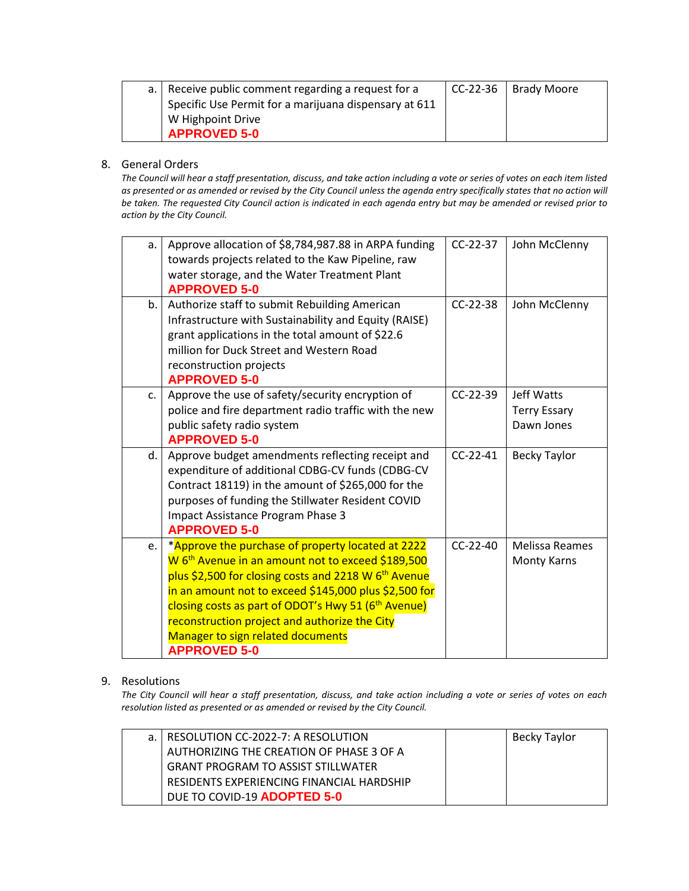| a.   Receive public comment regarding a request for a | $CC-22-36$   Brady Moore |
|-------------------------------------------------------|--------------------------|
| Specific Use Permit for a marijuana dispensary at 611 |                          |
| W Highpoint Drive                                     |                          |
| <b>APPROVED 5-0</b>                                   |                          |

## 8. General Orders

*The Council will hear a staff presentation, discuss, and take action including a vote or series of votes on each item listed as presented or as amended or revised by the City Council unless the agenda entry specifically states that no action will be taken. The requested City Council action is indicated in each agenda entry but may be amended or revised prior to action by the City Council.* 

| a. | Approve allocation of \$8,784,987.88 in ARPA funding<br>towards projects related to the Kaw Pipeline, raw<br>water storage, and the Water Treatment Plant<br><b>APPROVED 5-0</b>                                                                                                                                                                                                                                                | CC-22-37   | John McClenny                                   |
|----|---------------------------------------------------------------------------------------------------------------------------------------------------------------------------------------------------------------------------------------------------------------------------------------------------------------------------------------------------------------------------------------------------------------------------------|------------|-------------------------------------------------|
| b. | Authorize staff to submit Rebuilding American<br>Infrastructure with Sustainability and Equity (RAISE)<br>grant applications in the total amount of \$22.6<br>million for Duck Street and Western Road<br>reconstruction projects<br><b>APPROVED 5-0</b>                                                                                                                                                                        | $CC-22-38$ | John McClenny                                   |
| C. | Approve the use of safety/security encryption of<br>police and fire department radio traffic with the new<br>public safety radio system<br><b>APPROVED 5-0</b>                                                                                                                                                                                                                                                                  | $CC-22-39$ | Jeff Watts<br><b>Terry Essary</b><br>Dawn Jones |
| d. | Approve budget amendments reflecting receipt and<br>expenditure of additional CDBG-CV funds (CDBG-CV<br>Contract 18119) in the amount of \$265,000 for the<br>purposes of funding the Stillwater Resident COVID<br>Impact Assistance Program Phase 3<br><b>APPROVED 5-0</b>                                                                                                                                                     | $CC-22-41$ | <b>Becky Taylor</b>                             |
| e. | *Approve the purchase of property located at 2222<br>W 6 <sup>th</sup> Avenue in an amount not to exceed \$189,500<br>plus \$2,500 for closing costs and 2218 W 6 <sup>th</sup> Avenue<br>in an amount not to exceed \$145,000 plus \$2,500 for<br>closing costs as part of ODOT's Hwy 51 (6 <sup>th</sup> Avenue)<br>reconstruction project and authorize the City<br>Manager to sign related documents<br><b>APPROVED 5-0</b> | $CC-22-40$ | <b>Melissa Reames</b><br>Monty Karns            |

### 9. Resolutions

*The City Council will hear a staff presentation, discuss, and take action including a vote or series of votes on each resolution listed as presented or as amended or revised by the City Council.* 

| a. I RESOLUTION CC-2022-7: A RESOLUTION   | Becky Taylor |
|-------------------------------------------|--------------|
| AUTHORIZING THE CREATION OF PHASE 3 OF A  |              |
| <b>GRANT PROGRAM TO ASSIST STILLWATER</b> |              |
| RESIDENTS EXPERIENCING FINANCIAL HARDSHIP |              |
| DUE TO COVID-19 ADOPTED 5-0               |              |